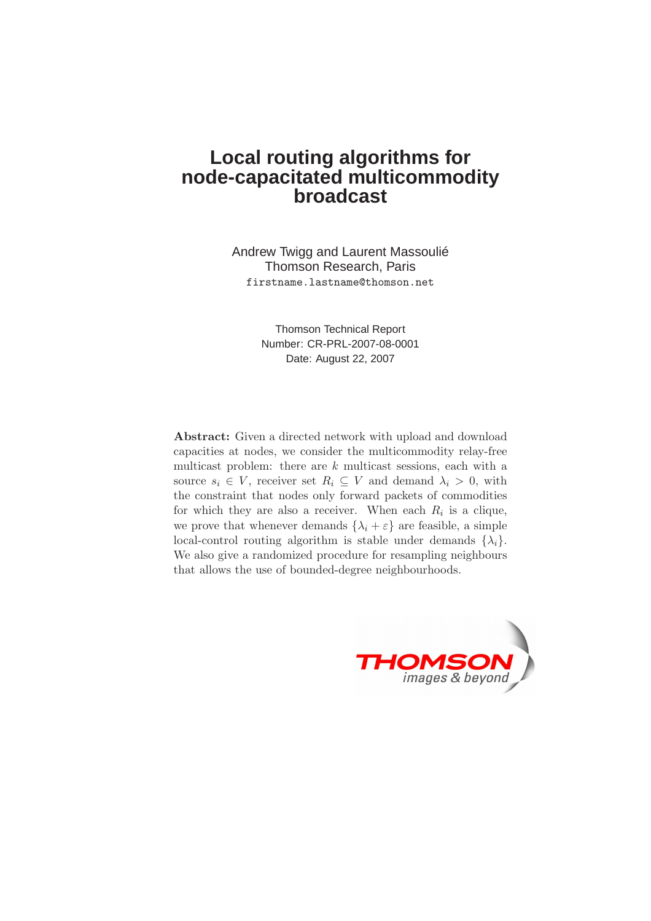# **Local routing algorithms for node-capacitated multicommodity broadcast**

Andrew Twigg and Laurent Massoulié Thomson Research, Paris firstname.lastname@thomson.net

> Thomson Technical Report Number: CR-PRL-2007-08-0001 Date: August 22, 2007

Abstract: Given a directed network with upload and download capacities at nodes, we consider the multicommodity relay-free multicast problem: there are  $k$  multicast sessions, each with a source  $s_i \in V$ , receiver set  $R_i \subseteq V$  and demand  $\lambda_i > 0$ , with the constraint that nodes only forward packets of commodities for which they are also a receiver. When each  $R_i$  is a clique, we prove that whenever demands  $\{\lambda_i + \varepsilon\}$  are feasible, a simple local-control routing algorithm is stable under demands  $\{\lambda_i\}$ . We also give a randomized procedure for resampling neighbours that allows the use of bounded-degree neighbourhoods.

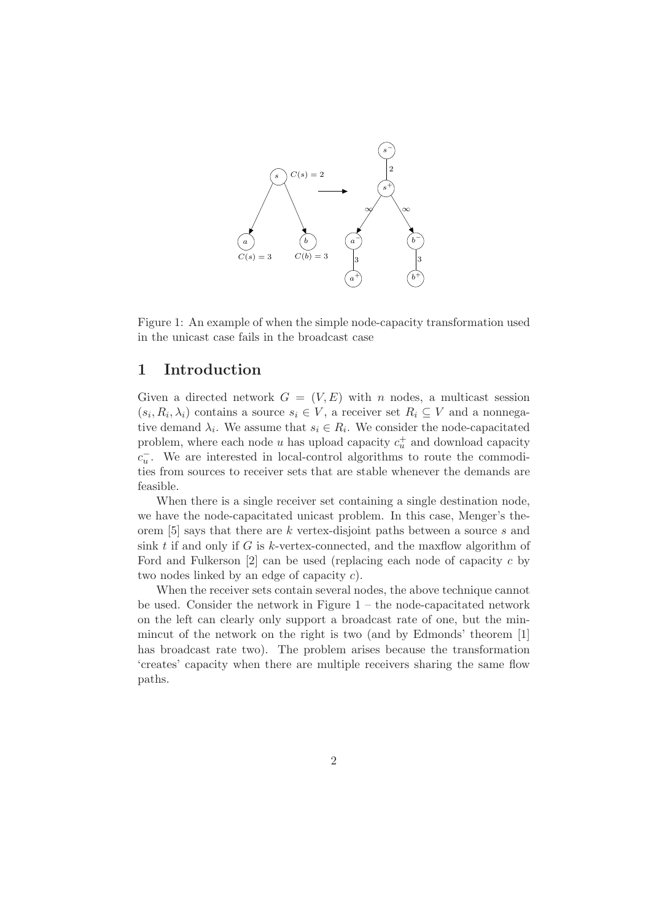

Figure 1: An example of when the simple node-capacity transformation used in the unicast case fails in the broadcast case

### 1 Introduction

Given a directed network  $G = (V, E)$  with n nodes, a multicast session  $(s_i, R_i, \lambda_i)$  contains a source  $s_i \in V$ , a receiver set  $R_i \subseteq V$  and a nonnegative demand  $\lambda_i$ . We assume that  $s_i \in R_i$ . We consider the node-capacitated problem, where each node  $u$  has upload capacity  $c_u^+$  and download capacity  $c_u^-$ . We are interested in local-control algorithms to route the commodities from sources to receiver sets that are stable whenever the demands are feasible.

When there is a single receiver set containing a single destination node, we have the node-capacitated unicast problem. In this case, Menger's theorem [5] says that there are k vertex-disjoint paths between a source s and sink t if and only if G is k-vertex-connected, and the maxilow algorithm of Ford and Fulkerson  $[2]$  can be used (replacing each node of capacity c by two nodes linked by an edge of capacity c).

When the receiver sets contain several nodes, the above technique cannot be used. Consider the network in Figure  $1 -$  the node-capacitated network on the left can clearly only support a broadcast rate of one, but the minmincut of the network on the right is two (and by Edmonds' theorem [1] has broadcast rate two). The problem arises because the transformation 'creates' capacity when there are multiple receivers sharing the same flow paths.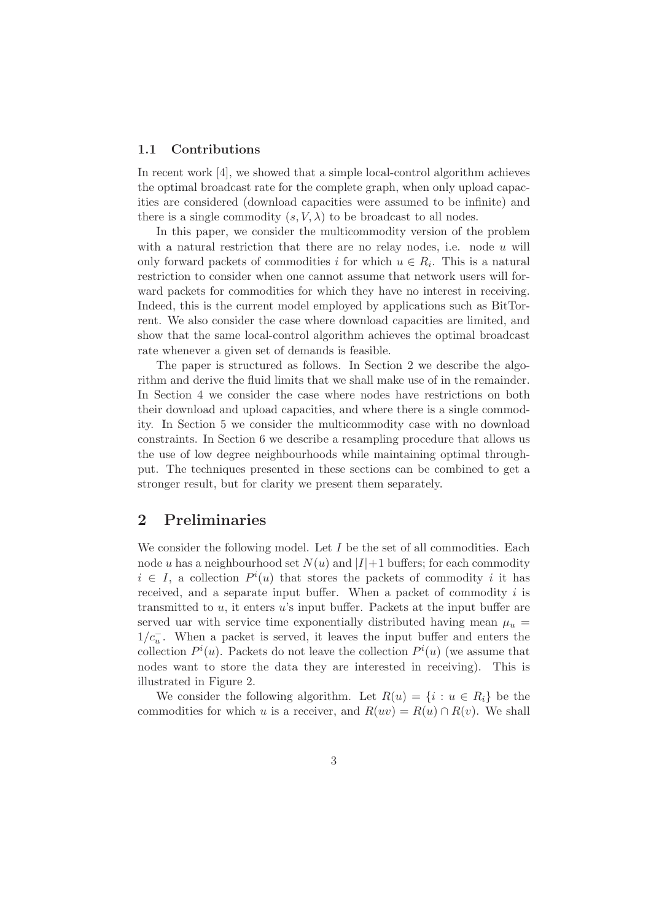#### 1.1 Contributions

In recent work [4], we showed that a simple local-control algorithm achieves the optimal broadcast rate for the complete graph, when only upload capacities are considered (download capacities were assumed to be infinite) and there is a single commodity  $(s, V, \lambda)$  to be broadcast to all nodes.

In this paper, we consider the multicommodity version of the problem with a natural restriction that there are no relay nodes, i.e. node  $u$  will only forward packets of commodities i for which  $u \in R_i$ . This is a natural restriction to consider when one cannot assume that network users will forward packets for commodities for which they have no interest in receiving. Indeed, this is the current model employed by applications such as BitTorrent. We also consider the case where download capacities are limited, and show that the same local-control algorithm achieves the optimal broadcast rate whenever a given set of demands is feasible.

The paper is structured as follows. In Section 2 we describe the algorithm and derive the fluid limits that we shall make use of in the remainder. In Section 4 we consider the case where nodes have restrictions on both their download and upload capacities, and where there is a single commodity. In Section 5 we consider the multicommodity case with no download constraints. In Section 6 we describe a resampling procedure that allows us the use of low degree neighbourhoods while maintaining optimal throughput. The techniques presented in these sections can be combined to get a stronger result, but for clarity we present them separately.

## 2 Preliminaries

We consider the following model. Let  $I$  be the set of all commodities. Each node u has a neighbourhood set  $N(u)$  and  $|I|+1$  buffers; for each commodity  $i \in I$ , a collection  $P^i(u)$  that stores the packets of commodity i it has received, and a separate input buffer. When a packet of commodity  $i$  is transmitted to  $u$ , it enters  $u$ 's input buffer. Packets at the input buffer are served uar with service time exponentially distributed having mean  $\mu_u$  =  $1/c<sub>u</sub><sup>−</sup>$ . When a packet is served, it leaves the input buffer and enters the collection  $P^{i}(u)$ . Packets do not leave the collection  $P^{i}(u)$  (we assume that nodes want to store the data they are interested in receiving). This is illustrated in Figure 2.

We consider the following algorithm. Let  $R(u) = \{i : u \in R_i\}$  be the commodities for which u is a receiver, and  $R(uv) = R(u) \cap R(v)$ . We shall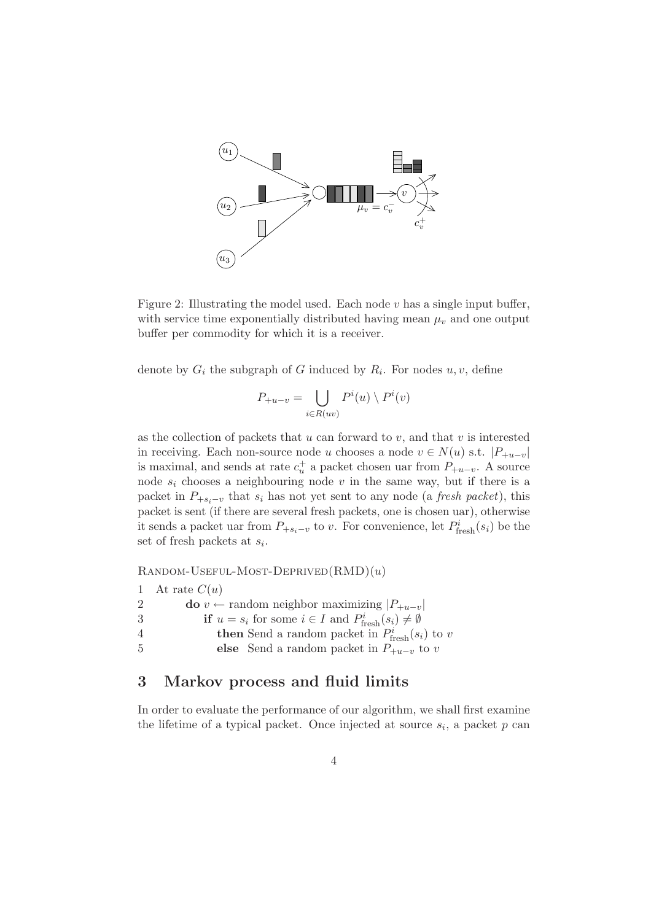

Figure 2: Illustrating the model used. Each node  $v$  has a single input buffer, with service time exponentially distributed having mean  $\mu_v$  and one output buffer per commodity for which it is a receiver.

denote by  $G_i$  the subgraph of G induced by  $R_i$ . For nodes  $u, v$ , define

$$
P_{+u-v} = \bigcup_{i \in R(uv)} P^i(u) \setminus P^i(v)
$$

as the collection of packets that  $u$  can forward to  $v$ , and that  $v$  is interested in receiving. Each non-source node u chooses a node  $v \in N(u)$  s.t.  $|P_{+u-v}|$ is maximal, and sends at rate  $c_u^+$  a packet chosen uar from  $P_{+u-v}$ . A source node  $s_i$  chooses a neighbouring node v in the same way, but if there is a packet in  $P_{+s_i-v}$  that  $s_i$  has not yet sent to any node (a *fresh packet*), this packet is sent (if there are several fresh packets, one is chosen uar), otherwise it sends a packet uar from  $P_{+s_i-v}$  to v. For convenience, let  $P_{\text{free}h}^i(s_i)$  be the set of fresh packets at  $s_i$ .

 $RANDOM-USEFUL-MOST-DEPRIVED(RMD)(u)$ 

1 At rate  $C(u)$ 2 **do**  $v \leftarrow$  random neighbor maximizing  $|P_{+u-v}|$ 3 if  $u = s_i$  for some  $i \in I$  and  $P_{\text{fresh}}^i(s_i) \neq \emptyset$ 4 **then** Send a random packet in  $P_{\text{fresh}}^i(s_i)$  to v 5 else Send a random packet in  $P_{+u-v}$  to v

### 3 Markov process and fluid limits

In order to evaluate the performance of our algorithm, we shall first examine the lifetime of a typical packet. Once injected at source  $s_i$ , a packet p can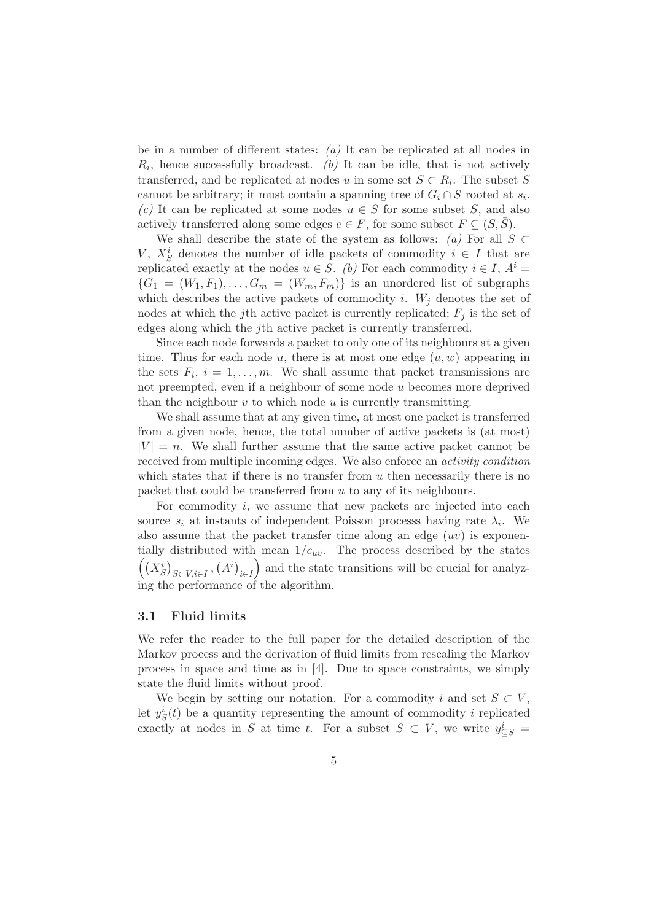be in a number of different states:  $(a)$  It can be replicated at all nodes in  $R_i$ , hence successfully broadcast. (b) It can be idle, that is not actively transferred, and be replicated at nodes u in some set  $S \subset R_i$ . The subset S cannot be arbitrary; it must contain a spanning tree of  $G_i \cap S$  rooted at  $s_i$ . (c) It can be replicated at some nodes  $u \in S$  for some subset S, and also actively transferred along some edges  $e \in F$ , for some subset  $F \subseteq (S, \overline{S})$ .

We shall describe the state of the system as follows:  $(a)$  For all  $S \subset$ V,  $X_S^i$  denotes the number of idle packets of commodity  $i \in I$  that are replicated exactly at the nodes  $u \in S$ . (b) For each commodity  $i \in I$ ,  $A^i$  ${G_1 = (W_1, F_1), \ldots, G_m = (W_m, F_m)}$  is an unordered list of subgraphs which describes the active packets of commodity i.  $W_j$  denotes the set of nodes at which the j<sup>th</sup> active packet is currently replicated;  $F_j$  is the set of edges along which the jth active packet is currently transferred.

Since each node forwards a packet to only one of its neighbours at a given time. Thus for each node u, there is at most one edge  $(u, w)$  appearing in the sets  $F_i$ ,  $i = 1, \ldots, m$ . We shall assume that packet transmissions are not preempted, even if a neighbour of some node u becomes more deprived than the neighbour  $v$  to which node  $u$  is currently transmitting.

We shall assume that at any given time, at most one packet is transferred from a given node, hence, the total number of active packets is (at most)  $|V| = n$ . We shall further assume that the same active packet cannot be received from multiple incoming edges. We also enforce an activity condition which states that if there is no transfer from  $u$  then necessarily there is no packet that could be transferred from u to any of its neighbours.

For commodity  $i$ , we assume that new packets are injected into each source  $s_i$  at instants of independent Poisson processs having rate  $\lambda_i$ . We also assume that the packet transfer time along an edge  $(uv)$  is exponentially distributed with mean  $1/c_{uv}$ . The process described by the states  $((X^i_S)_{S\subset V, i\in I}, (A^i)_{i\in I})$ ) and the state transitions will be crucial for analyzing the performance of the algorithm.

#### 3.1 Fluid limits

We refer the reader to the full paper for the detailed description of the Markov process and the derivation of fluid limits from rescaling the Markov process in space and time as in [4]. Due to space constraints, we simply state the fluid limits without proof.

We begin by setting our notation. For a commodity i and set  $S \subset V$ , let  $y_S^i(t)$  be a quantity representing the amount of commodity i replicated exactly at nodes in S at time t. For a subset  $S \subset V$ , we write  $y_{\subseteq S}^i =$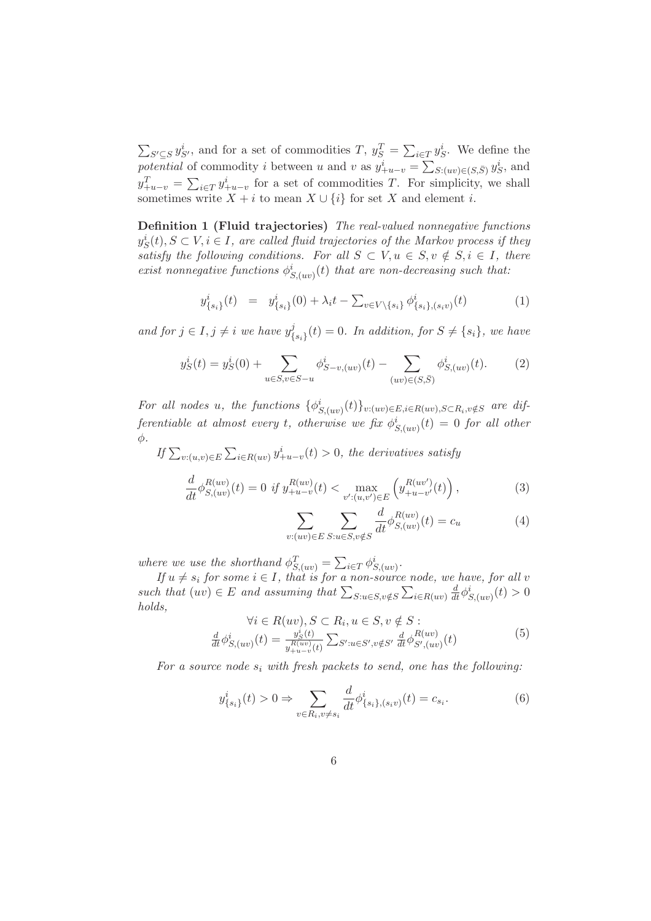$\sum_{S' \subseteq S} y_{S'}^i$ , and for a set of commodities T,  $y_S^T = \sum_{i \in T} y_S^i$ . We define the potential of commodity i between u and v as  $y_{+u-v}^i = \sum_{S: (uv) \in (S, \bar{S})} y_S^i$ , and  $y_{+u-v}^T = \sum_{i \in T} y_{+u-v}^i$  for a set of commodities T. For simplicity, we shall sometimes write  $X + i$  to mean  $X \cup \{i\}$  for set X and element i.

Definition 1 (Fluid trajectories) The real-valued nonnegative functions  $y_S^i(t), S \subset V, i \in I$ , are called fluid trajectories of the Markov process if they satisfy the following conditions. For all  $S \subset V, u \in S, v \notin S, i \in I$ , there exist nonnegative functions  $\phi_{S,(uv)}^i(t)$  that are non-decreasing such that:

$$
y_{\{s_i\}}^i(t) = y_{\{s_i\}}^i(0) + \lambda_i t - \sum_{v \in V \setminus \{s_i\}} \phi_{\{s_i\}, (s_i v)}^i(t) \tag{1}
$$

and for  $j \in I, j \neq i$  we have  $y_f^j$  $\{s_i\}(t) = 0$ . In addition, for  $S \neq \{s_i\}$ , we have

$$
y_S^i(t) = y_S^i(0) + \sum_{u \in S, v \in S-u} \phi_{S-v,(uv)}^i(t) - \sum_{(uv) \in (S,\bar{S})} \phi_{S,(uv)}^i(t). \tag{2}
$$

For all nodes u, the functions  $\{\phi_{S,(uv)}^i(t)\}_{v:(uv)\in E, i\in R(uv), S\subset R_i, v\notin S}$  are differentiable at almost every t, otherwise we fix  $\phi^i_{S,(uv)}(t) = 0$  for all other  $\phi$ .

If  $\sum_{v:(u,v)\in E}\sum_{i\in R(uv)}y^i_{+u-v}(t) > 0$ , the derivatives satisfy

$$
\frac{d}{dt}\phi_{S,(uv)}^{R(uv)}(t) = 0 \text{ if } y_{+u-v}^{R(uv)}(t) < \max_{v':(u,v') \in E} \left( y_{+u-v'}^{R(uv')}(t) \right),\tag{3}
$$

$$
\sum_{v:(uv)\in E} \sum_{S:u\in S,v\notin S} \frac{d}{dt} \phi_{S,(uv)}^{R(uv)}(t) = c_u \tag{4}
$$

where we use the shorthand  $\phi_{S,(uv)}^T = \sum_{i \in T} \phi_{S,(uv)}^i$ .

If  $u \neq s_i$  for some  $i \in I$ , that is for a non-source node, we have, for all v such that  $(uv) \in E$  and assuming that  $\sum_{S: u \in S, v \notin S} \sum_{i \in R(uv)} \frac{d}{dt} \phi_{S(uv)}^i(t) > 0$ holds,

$$
\forall i \in R(uv), S \subset R_i, u \in S, v \notin S : \frac{d}{dt} \phi^i_{S,(uv)}(t) = \frac{y^i_S(t)}{y^{R(uv)}_{+u-v}(t)} \sum_{S': u \in S', v \notin S'} \frac{d}{dt} \phi^{R(uv)}_{S',(uv)}(t)
$$
\n(5)

For a source node  $s_i$  with fresh packets to send, one has the following:

$$
y_{\{s_i\}}^i(t) > 0 \Rightarrow \sum_{v \in R_i, v \neq s_i} \frac{d}{dt} \phi_{\{s_i\}, (s_i v)}^i(t) = c_{s_i}.
$$
 (6)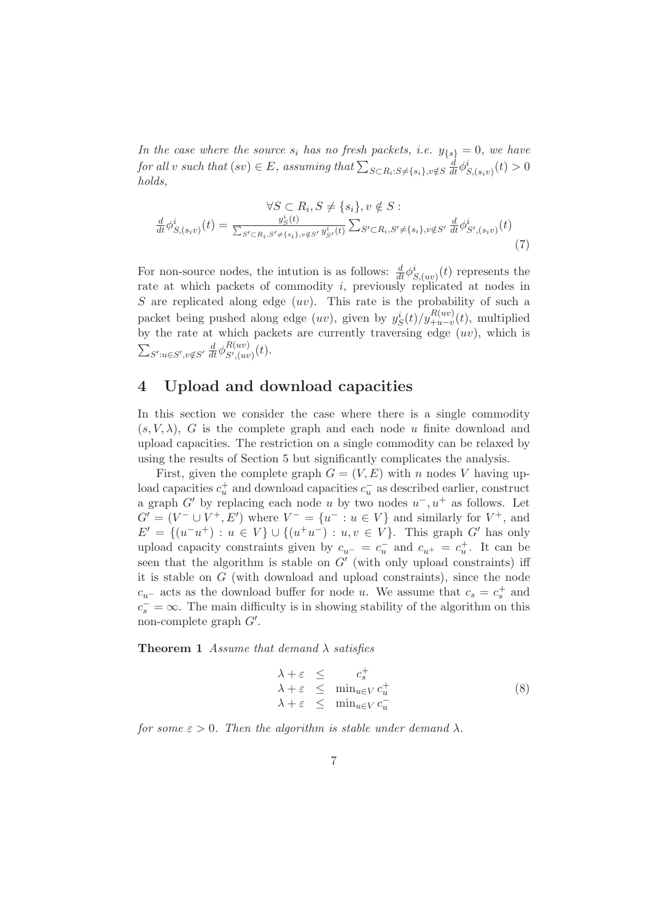In the case where the source  $s_i$  has no fresh packets, i.e.  $y_{\{s\}} = 0$ , we have for all v such that  $(sv) \in E$ , assuming that  $\sum_{S \subset R_i : S \neq \{s_i\}, v \notin S} \frac{d}{dt} \phi^i_{S,(s_i v)}(t) > 0$ holds,

$$
\forall S \subset R_i, S \neq \{s_i\}, v \notin S :
$$

$$
\frac{d}{dt} \phi^i_{S,(s_i v)}(t) = \frac{y^i_S(t)}{\sum_{S' \subset R_i, S' \neq \{s_i\}, v \notin S'} y^i_{S'}(t)} \sum_{S' \subset R_i, S' \neq \{s_i\}, v \notin S'} \frac{d}{dt} \phi^i_{S',(s_i v)}(t)
$$
(7)

For non-source nodes, the intution is as follows:  $\frac{d}{dt}\phi_{S,(uv)}^i(t)$  represents the rate at which packets of commodity i, previously replicated at nodes in S are replicated along edge  $(uv)$ . This rate is the probability of such a packet being pushed along edge  $(uv)$ , given by  $y_S^i(t)/y_{+u-v}^{R(uv)}(t)$ , multiplied by the rate at which packets are currently traversing edge  $(uv)$ , which is  $\sum_{S':u\in S',v\notin S'}\frac{d}{dt}\phi_{S',(uv)}^{R(uv)}$  $\mathcal{L}^{(uv)}_{S',(uv)}(t).$ 

### 4 Upload and download capacities

In this section we consider the case where there is a single commodity  $(s, V, \lambda)$ , G is the complete graph and each node u finite download and upload capacities. The restriction on a single commodity can be relaxed by using the results of Section 5 but significantly complicates the analysis.

First, given the complete graph  $G = (V, E)$  with n nodes V having upload capacities  $c_u^+$  and download capacities  $c_u^-$  as described earlier, construct a graph  $G'$  by replacing each node u by two nodes  $u^-, u^+$  as follows. Let  $G' = (V^- \cup V^+, E')$  where  $V^- = \{u^- : u \in V\}$  and similarly for  $V^+$ , and  $E' = \{(u^-u^+) : u \in V\} \cup \{(u^+u^-) : u, v \in V\}.$  This graph G' has only upload capacity constraints given by  $c_{u^-} = c_u^-$  and  $c_{u^+} = c_u^+$ . It can be seen that the algorithm is stable on  $G'$  (with only upload constraints) iff it is stable on G (with download and upload constraints), since the node  $c_{u-}$  acts as the download buffer for node u. We assume that  $c_s = c_s^+$  and  $c_s^- = \infty$ . The main difficulty is in showing stability of the algorithm on this non-complete graph G′ .

**Theorem 1** Assume that demand  $\lambda$  satisfies

$$
\begin{array}{rcl}\n\lambda + \varepsilon & \leq & c_s^+ \\
\lambda + \varepsilon & \leq & \min_{u \in V} c_u^+ \\
\lambda + \varepsilon & \leq & \min_{u \in V} c_u^- \\
\end{array} \tag{8}
$$

for some  $\varepsilon > 0$ . Then the algorithm is stable under demand  $\lambda$ .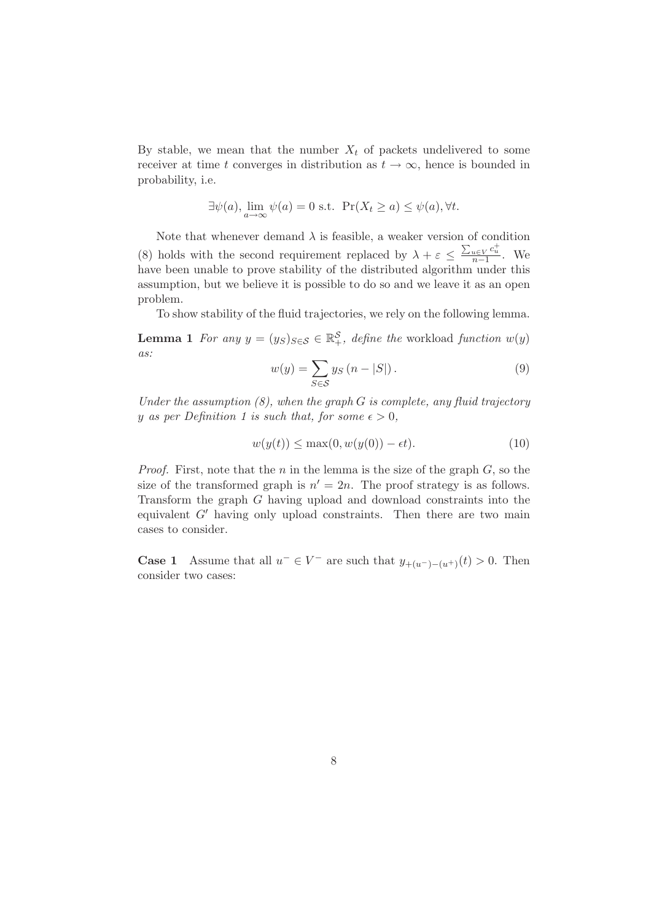By stable, we mean that the number  $X_t$  of packets undelivered to some receiver at time t converges in distribution as  $t \to \infty$ , hence is bounded in probability, i.e.

$$
\exists \psi(a), \lim_{a \to \infty} \psi(a) = 0 \text{ s.t. } \Pr(X_t \ge a) \le \psi(a), \forall t.
$$

Note that whenever demand  $\lambda$  is feasible, a weaker version of condition (8) holds with the second requirement replaced by  $\lambda + \varepsilon \le \frac{\sum_{u \in V} c_u^+}{n-1}$ . We have been unable to prove stability of the distributed algorithm under this assumption, but we believe it is possible to do so and we leave it as an open problem.

To show stability of the fluid trajectories, we rely on the following lemma.

**Lemma 1** For any  $y = (y_S)_{S \in \mathcal{S}} \in \mathbb{R}^{\mathcal{S}}_+$ , define the workload function  $w(y)$ as:

$$
w(y) = \sum_{S \in \mathcal{S}} y_S (n - |S|).
$$
 (9)

Under the assumption  $(8)$ , when the graph G is complete, any fluid trajectory y as per Definition 1 is such that, for some  $\epsilon > 0$ ,

$$
w(y(t)) \le \max(0, w(y(0)) - \epsilon t). \tag{10}
$$

*Proof.* First, note that the n in the lemma is the size of the graph  $G$ , so the size of the transformed graph is  $n' = 2n$ . The proof strategy is as follows. Transform the graph G having upload and download constraints into the equivalent  $G'$  having only upload constraints. Then there are two main cases to consider.

**Case 1** Assume that all  $u^- \in V^-$  are such that  $y_{+(u^-)-(u^+)}(t) > 0$ . Then consider two cases: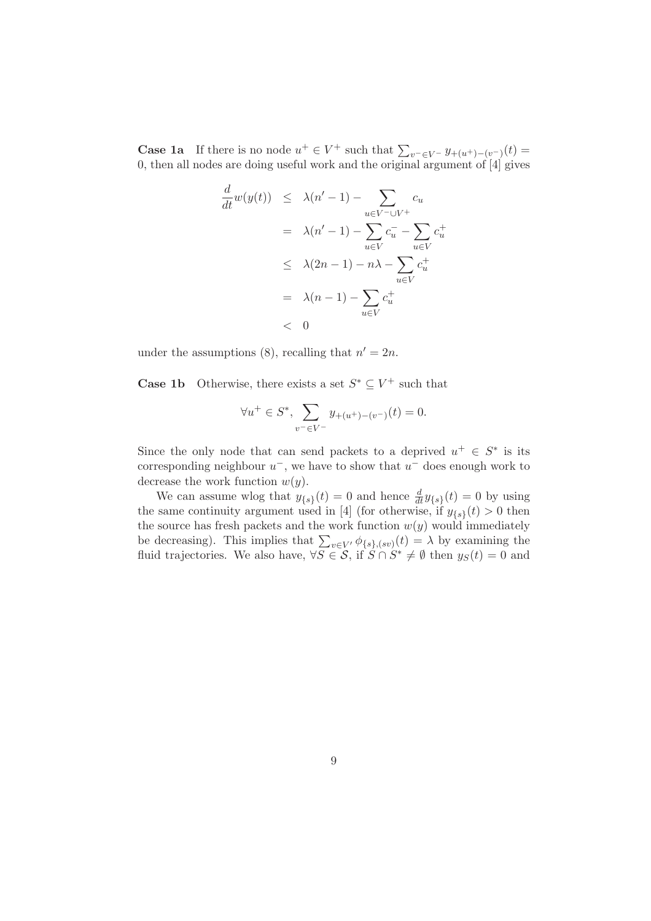**Case 1a** If there is no node  $u^+ \in V^+$  such that  $\sum_{v^- \in V^-} y_{+(u^+)-(v^-)}(t) =$ 0, then all nodes are doing useful work and the original argument of [4] gives

$$
\frac{d}{dt}w(y(t)) \leq \lambda(n'-1) - \sum_{u \in V^- \cup V^+} c_u
$$
\n
$$
= \lambda(n'-1) - \sum_{u \in V} c_u^- - \sum_{u \in V} c_u^+
$$
\n
$$
\leq \lambda(2n-1) - n\lambda - \sum_{u \in V} c_u^+
$$
\n
$$
= \lambda(n-1) - \sum_{u \in V} c_u^+
$$
\n
$$
< 0
$$

under the assumptions (8), recalling that  $n' = 2n$ .

**Case 1b** Otherwise, there exists a set  $S^* \subseteq V^+$  such that

$$
\forall u^+ \in S^*, \sum_{v^- \in V^-} y_{+(u^+)-(v^-)}(t) = 0.
$$

Since the only node that can send packets to a deprived  $u^+ \in S^*$  is its corresponding neighbour  $u^-$ , we have to show that  $u^-$  does enough work to decrease the work function  $w(y)$ .

We can assume wlog that  $y_{\{s\}}(t) = 0$  and hence  $\frac{d}{dt}y_{\{s\}}(t) = 0$  by using the same continuity argument used in [4] (for otherwise, if  $y_{\{s\}}(t) > 0$  then the source has fresh packets and the work function  $w(y)$  would immediately be decreasing). This implies that  $\sum_{v \in V'} \phi_{\{s\},(sv)}(t) = \lambda$  by examining the fluid trajectories. We also have,  $\forall S \in \mathcal{S}$ , if  $\hat{S} \cap \hat{S}^* \neq \emptyset$  then  $y_S(t) = 0$  and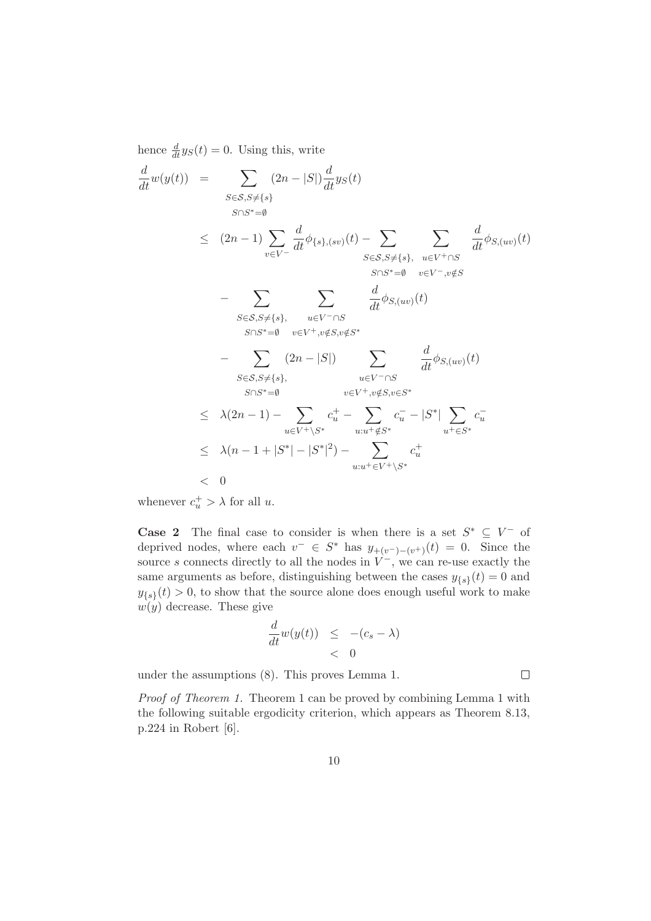hence  $\frac{d}{dt}y_S(t) = 0$ . Using this, write

$$
\frac{d}{dt}w(y(t)) = \sum_{S \in S, S \neq \{s\}} (2n - |S|) \frac{d}{dt} y_S(t)
$$
\n
$$
\leq (2n - 1) \sum_{v \in V^-} \frac{d}{dt} \phi_{\{s\},(sv)}(t) - \sum_{S \in S, S \neq \{s\},} \sum_{u \in V^+ \cap S} \frac{d}{dt} \phi_{S,(uv)}(t)
$$
\n
$$
= \sum_{S \in S, S \neq \{s\},} \sum_{u \in V^- \cap S} \frac{d}{dt} \phi_{S,(uv)}(t)
$$
\n
$$
= \sum_{S \in S, S \neq \{s\},} \sum_{u \in V^- \cap S} \frac{d}{dt} \phi_{S,(uv)}(t)
$$
\n
$$
= \sum_{S \in S, S \neq \{s\},} (2n - |S|) \sum_{u \in V^- \cap S} \frac{d}{dt} \phi_{S,(uv)}(t)
$$
\n
$$
= \sum_{S \in S, S \neq \{s\},} (2n - |S|) \sum_{u \in V^- \cap S} \frac{d}{dt} \phi_{S,(uv)}(t)
$$
\n
$$
\leq \lambda(2n - 1) - \sum_{u \in V^+ \setminus S^*} c_u^+ - \sum_{u : u^+ \notin S^*} c_u^- - |S^*| \sum_{u^+ \in S^*} c_u^-
$$
\n
$$
\leq \lambda(n - 1 + |S^*| - |S^*|^2) - \sum_{u : u^+ \in V^+ \setminus S^*} c_u^+
$$
\n
$$
< 0
$$

whenever  $c_u^+ > \lambda$  for all u.

**Case 2** The final case to consider is when there is a set  $S^* \subseteq V^-$  of deprived nodes, where each  $v^- \in S^*$  has  $y_{+(v^-)-(v^+)}(t) = 0$ . Since the source s connects directly to all the nodes in  $V^-$ , we can re-use exactly the same arguments as before, distinguishing between the cases  $y_{\{s\}}(t) = 0$  and  $y_{\{s\}}(t) > 0$ , to show that the source alone does enough useful work to make  $w(y)$  decrease. These give

$$
\frac{d}{dt}w(y(t)) \leq -(c_s - \lambda) \n< 0
$$

under the assumptions (8). This proves Lemma 1.

Proof of Theorem 1. Theorem 1 can be proved by combining Lemma 1 with the following suitable ergodicity criterion, which appears as Theorem 8.13, p.224 in Robert [6].

 $\Box$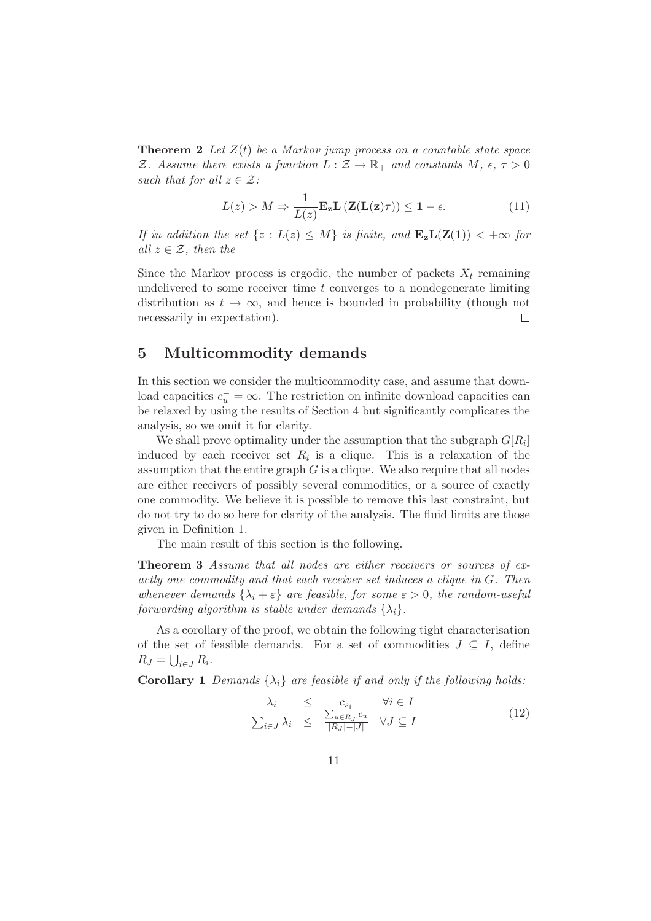**Theorem 2** Let  $Z(t)$  be a Markov jump process on a countable state space Z. Assume there exists a function  $L : \mathcal{Z} \to \mathbb{R}_+$  and constants  $M, \epsilon, \tau > 0$ such that for all  $z \in \mathcal{Z}$ :

$$
L(z) > M \Rightarrow \frac{1}{L(z)} \mathbf{E_z} \mathbf{L} \left( \mathbf{Z} (\mathbf{L}(\mathbf{z}) \tau) \right) \le 1 - \epsilon.
$$
 (11)

If in addition the set  $\{z : L(z) \leq M\}$  is finite, and  $\mathbf{E}_{z}L(\mathbf{Z}(1)) < +\infty$  for all  $z \in \mathcal{Z}$ , then the

Since the Markov process is ergodic, the number of packets  $X_t$  remaining undelivered to some receiver time  $t$  converges to a nondegenerate limiting distribution as  $t \to \infty$ , and hence is bounded in probability (though not necessarily in expectation).  $\Box$ 

### 5 Multicommodity demands

In this section we consider the multicommodity case, and assume that download capacities  $c_u^- = \infty$ . The restriction on infinite download capacities can be relaxed by using the results of Section 4 but significantly complicates the analysis, so we omit it for clarity.

We shall prove optimality under the assumption that the subgraph  $G[R_i]$ induced by each receiver set  $R_i$  is a clique. This is a relaxation of the assumption that the entire graph  $G$  is a clique. We also require that all nodes are either receivers of possibly several commodities, or a source of exactly one commodity. We believe it is possible to remove this last constraint, but do not try to do so here for clarity of the analysis. The fluid limits are those given in Definition 1.

The main result of this section is the following.

Theorem 3 Assume that all nodes are either receivers or sources of exactly one commodity and that each receiver set induces a clique in G. Then whenever demands  $\{\lambda_i + \varepsilon\}$  are feasible, for some  $\varepsilon > 0$ , the random-useful forwarding algorithm is stable under demands  $\{\lambda_i\}$ .

As a corollary of the proof, we obtain the following tight characterisation of the set of feasible demands. For a set of commodities  $J \subseteq I$ , define  $R_J = \bigcup_{i \in J} R_i.$ 

**Corollary 1** Demands  $\{\lambda_i\}$  are feasible if and only if the following holds:

$$
\lambda_i \leq c_{s_i} \quad \forall i \in I
$$
\n
$$
\sum_{i \in J} \lambda_i \leq \frac{\sum_{u \in R_J} c_u}{|R_J| - |J|} \quad \forall J \subseteq I
$$
\n
$$
(12)
$$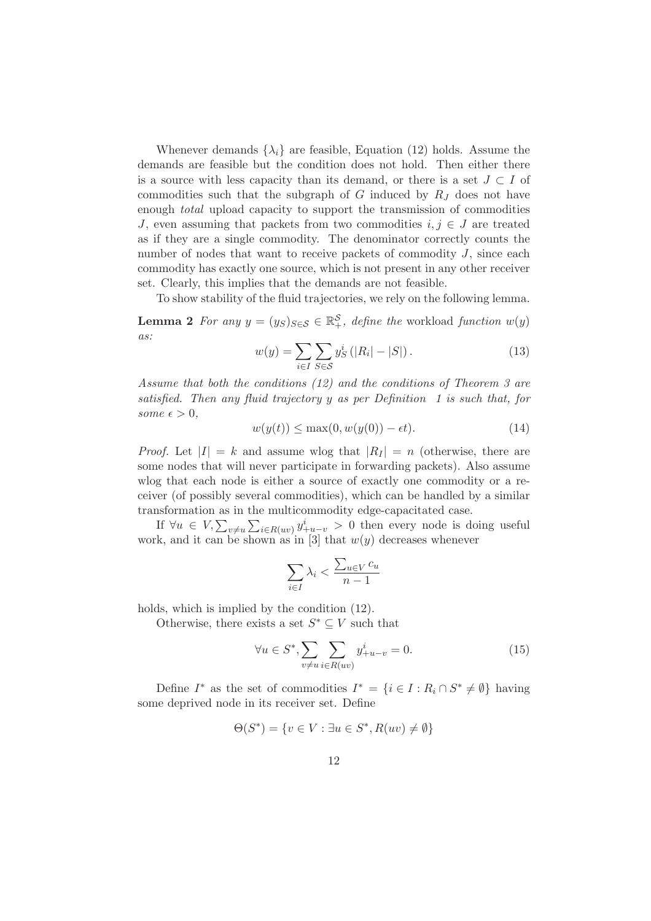Whenever demands  $\{\lambda_i\}$  are feasible, Equation (12) holds. Assume the demands are feasible but the condition does not hold. Then either there is a source with less capacity than its demand, or there is a set  $J \subset I$  of commodities such that the subgraph of  $G$  induced by  $R_J$  does not have enough total upload capacity to support the transmission of commodities J, even assuming that packets from two commodities  $i, j \in J$  are treated as if they are a single commodity. The denominator correctly counts the number of nodes that want to receive packets of commodity  $J$ , since each commodity has exactly one source, which is not present in any other receiver set. Clearly, this implies that the demands are not feasible.

To show stability of the fluid trajectories, we rely on the following lemma.

**Lemma 2** For any  $y = (y_S)_{S \in \mathcal{S}} \in \mathbb{R}^{\mathcal{S}}_+$ , define the workload function  $w(y)$ as:

$$
w(y) = \sum_{i \in I} \sum_{S \in \mathcal{S}} y_S^i (|R_i| - |S|).
$$
 (13)

Assume that both the conditions (12) and the conditions of Theorem 3 are satisfied. Then any fluid trajectory y as per Definition 1 is such that, for some  $\epsilon > 0$ ,

$$
w(y(t)) \le \max(0, w(y(0)) - \epsilon t). \tag{14}
$$

*Proof.* Let  $|I| = k$  and assume wlog that  $|R_I| = n$  (otherwise, there are some nodes that will never participate in forwarding packets). Also assume wlog that each node is either a source of exactly one commodity or a receiver (of possibly several commodities), which can be handled by a similar transformation as in the multicommodity edge-capacitated case.

If  $\forall u \in V, \sum_{v \neq u} \sum_{i \in R(uv)} y_{+u-v}^i > 0$  then every node is doing useful work, and it can be shown as in [3] that  $w(y)$  decreases whenever

$$
\sum_{i\in I}\lambda_i<\frac{\sum_{u\in V}c_u}{n-1}
$$

holds, which is implied by the condition (12).

Otherwise, there exists a set  $S^* \subseteq V$  such that

$$
\forall u \in S^*, \sum_{v \neq u} \sum_{i \in R(uv)} y^i_{+u-v} = 0.
$$
 (15)

Define  $I^*$  as the set of commodities  $I^* = \{i \in I : R_i \cap S^* \neq \emptyset\}$  having some deprived node in its receiver set. Define

$$
\Theta(S^*) = \{ v \in V : \exists u \in S^*, R(uv) \neq \emptyset \}
$$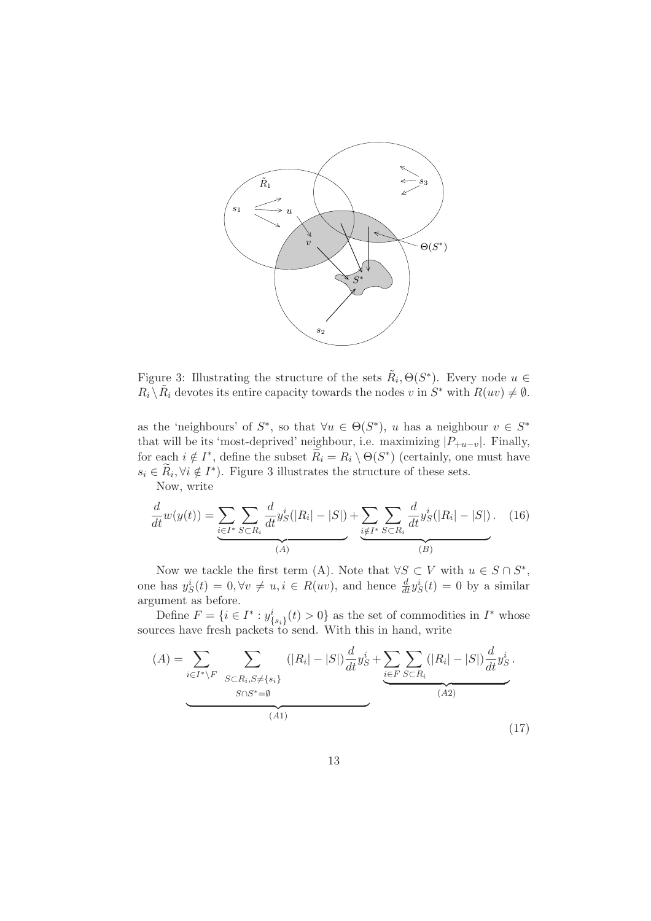

Figure 3: Illustrating the structure of the sets  $\tilde{R}_i, \Theta(S^*)$ . Every node  $u \in$  $R_i \setminus \tilde{R}_i$  devotes its entire capacity towards the nodes v in  $S^*$  with  $R(uv) \neq \emptyset$ .

as the 'neighbours' of  $S^*$ , so that  $\forall u \in \Theta(S^*)$ , u has a neighbour  $v \in S^*$ that will be its 'most-deprived' neighbour, i.e. maximizing  $|P_{+u-v}|$ . Finally, for each  $i \notin I^*$ , define the subset  $\widetilde{R}_i = R_i \setminus \Theta(S^*)$  (certainly, one must have  $s_i \in \tilde{R}_i, \forall i \notin I^*$ ). Figure 3 illustrates the structure of these sets.

Now, write

$$
\frac{d}{dt}w(y(t)) = \underbrace{\sum_{i \in I^*} \sum_{S \subset R_i} \frac{d}{dt} y_S^i(|R_i| - |S|)}_{(A)} + \underbrace{\sum_{i \notin I^*} \sum_{S \subset R_i} \frac{d}{dt} y_S^i(|R_i| - |S|)}_{(B)}.
$$
 (16)

Now we tackle the first term (A). Note that  $\forall S \subset V$  with  $u \in S \cap S^*$ , one has  $y_S^i(t) = 0, \forall v \neq u, i \in R(uv)$ , and hence  $\frac{d}{dt}y_S^i(t) = 0$  by a similar argument as before.

Define  $F = \{i \in I^* : y_{\{s_i\}}^i(t) > 0\}$  as the set of commodities in  $I^*$  whose sources have fresh packets to send. With this in hand, write

$$
(A) = \sum_{i \in I^* \backslash F} \sum_{\substack{S \subset R_i, S \neq \{s_i\} \\ S \cap S^* = \emptyset}} (|R_i| - |S|) \frac{d}{dt} y_S^i + \underbrace{\sum_{i \in F} \sum_{S \subset R_i} (|R_i| - |S|) \frac{d}{dt} y_S^i}_{(A2)}.
$$
\n
$$
(A1)
$$
\n(17)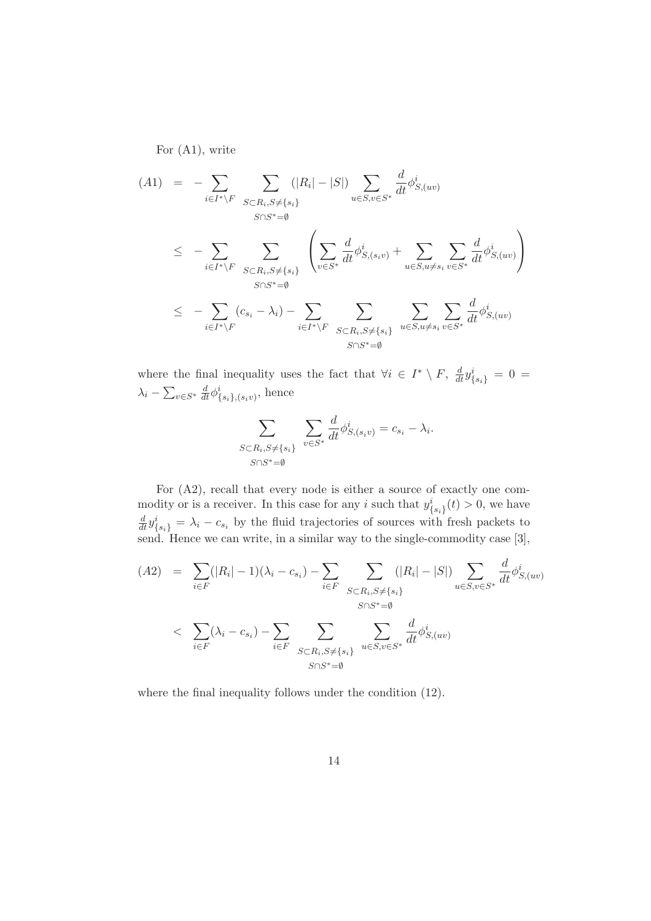For (A1), write

$$
(A1) = -\sum_{i \in I^* \backslash F} \sum_{S \subset R_i, S \neq \{s_i\}} (|R_i| - |S|) \sum_{u \in S, v \in S^*} \frac{d}{dt} \phi_{S,(uv)}^i
$$
  

$$
\leq -\sum_{i \in I^* \backslash F} \sum_{S \subset R_i, S \neq \{s_i\}} \left( \sum_{v \in S^*} \frac{d}{dt} \phi_{S,(s_i v)}^i + \sum_{u \in S, u \neq s_i} \sum_{v \in S^*} \frac{d}{dt} \phi_{S,(uv)}^i \right)
$$
  

$$
\leq -\sum_{i \in I^* \backslash F} (c_{s_i} - \lambda_i) - \sum_{i \in I^* \backslash F} \sum_{S \subset R_i, S \neq \{s_i\}} \sum_{u \in S, u \neq s_i} \sum_{v \in S^*} \frac{d}{dt} \phi_{S,(uv)}^i
$$
  

$$
\leq S \cap S^* = \emptyset
$$

where the final inequality uses the fact that  $\forall i \in I^* \setminus F$ ,  $\frac{d}{dt} y_{\{s_i\}}^i = 0$  $\lambda_i - \sum_{v \in S^*} \frac{d}{dt} \phi^i_{\{s_i\},(s_i v)},$  hence

$$
\sum_{\substack{S \subset R_i, S \neq \{s_i\} \\ S \cap S^* = \emptyset}} \sum_{v \in S^*} \frac{d}{dt} \phi^i_{S,(s_i v)} = c_{s_i} - \lambda_i.
$$

For (A2), recall that every node is either a source of exactly one commodity or is a receiver. In this case for any *i* such that  $y_{\{s_i\}}^i(t) > 0$ , we have  $\frac{d}{dt} y_{\{s_i\}}^i = \lambda_i - c_{s_i}$  by the fluid trajectories of sources with fresh packets to send. Hence we can write, in a similar way to the single-commodity case [3],

$$
(A2) = \sum_{i \in F} (|R_i| - 1)(\lambda_i - c_{s_i}) - \sum_{i \in F} \sum_{S \subset R_i, S \neq \{s_i\}} (|R_i| - |S|) \sum_{u \in S, v \in S^*} \frac{d}{dt} \phi_{S,(uv)}^i
$$
  

$$
< \sum_{i \in F} (\lambda_i - c_{s_i}) - \sum_{i \in F} \sum_{S \subset R_i, S \neq \{s_i\}} \sum_{u \in S, v \in S^*} \frac{d}{dt} \phi_{S,(uv)}^i
$$
  

$$
S \cap S^* = \emptyset
$$

where the final inequality follows under the condition (12).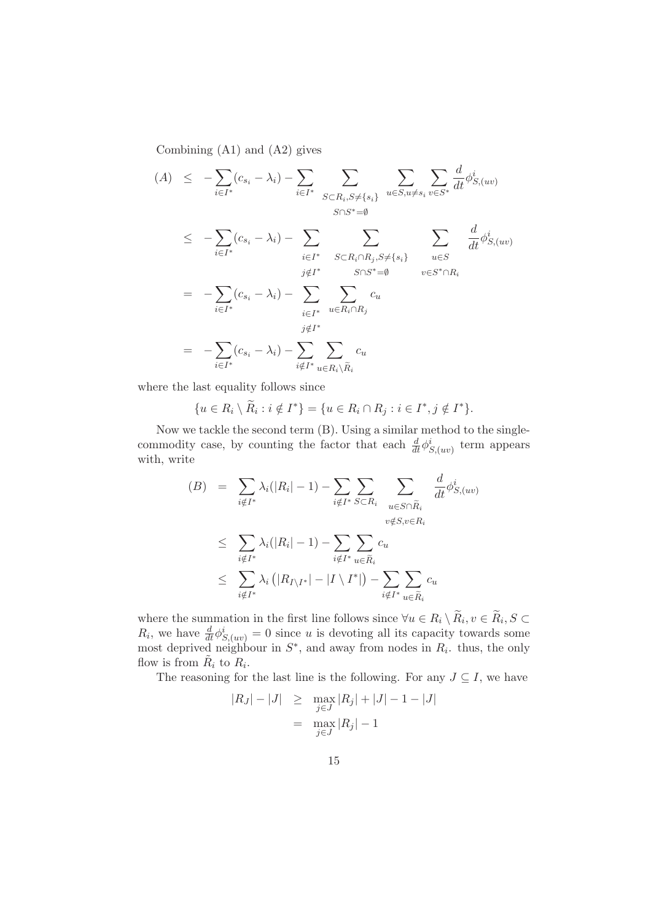Combining (A1) and (A2) gives

$$
(A) \leq -\sum_{i \in I^*} (c_{s_i} - \lambda_i) - \sum_{i \in I^*} \sum_{S \subset R_i, S \neq \{s_i\}} \sum_{u \in S, u \neq s_i} \sum_{v \in S^*} \frac{d}{dt} \phi_{S,(uv)}^i
$$
  
\n
$$
\leq -\sum_{i \in I^*} (c_{s_i} - \lambda_i) - \sum_{i \in I^*} \sum_{S \subset R_i \cap R_j, S \neq \{s_i\}} \sum_{u \in S} \frac{d}{dt} \phi_{S,(uv)}^i
$$
  
\n
$$
= -\sum_{i \in I^*} (c_{s_i} - \lambda_i) - \sum_{i \in I^*} \sum_{u \in R_i \cap R_j} c_u
$$
  
\n
$$
= -\sum_{i \in I^*} (c_{s_i} - \lambda_i) - \sum_{i \notin I^*} \sum_{u \in R_i \cap R_j} c_u
$$
  
\n
$$
= -\sum_{i \in I^*} (c_{s_i} - \lambda_i) - \sum_{i \notin I^*} \sum_{u \in R_i \setminus R_i} c_u
$$

where the last equality follows since

$$
\{u \in R_i \setminus \widetilde{R}_i : i \notin I^*\} = \{u \in R_i \cap R_j : i \in I^*, j \notin I^*\}.
$$

Now we tackle the second term (B). Using a similar method to the singlecommodity case, by counting the factor that each  $\frac{d}{dt}\phi_{S,(uv)}^i$  term appears with, write

$$
(B) = \sum_{i \notin I^*} \lambda_i (|R_i| - 1) - \sum_{i \notin I^*} \sum_{S \subset R_i} \sum_{u \in S \cap \widetilde{R}_i} \frac{d}{dt} \phi_{S,(uv)}^i
$$
  

$$
\leq \sum_{i \notin I^*} \lambda_i (|R_i| - 1) - \sum_{i \notin I^*} \sum_{u \in \widetilde{R}_i} c_u
$$
  

$$
\leq \sum_{i \notin I^*} \lambda_i (|R_{I \setminus I^*}| - |I \setminus I^*|) - \sum_{i \notin I^*} \sum_{u \in \widetilde{R}_i} c_u
$$

where the summation in the first line follows since  $\forall u \in R_i \setminus R_i, v \in R_i, S \subset$  $R_i$ , we have  $\frac{d}{dt}\phi^i_{S,(uv)}=0$  since u is devoting all its capacity towards some most deprived neighbour in  $S^*$ , and away from nodes in  $R_i$ . thus, the only flow is from  $\tilde{R}_i$  to  $R_i$ .

The reasoning for the last line is the following. For any  $J \subseteq I$ , we have

$$
|R_J| - |J| \ge \max_{j \in J} |R_j| + |J| - 1 - |J|
$$
  
=  $\max_{j \in J} |R_j| - 1$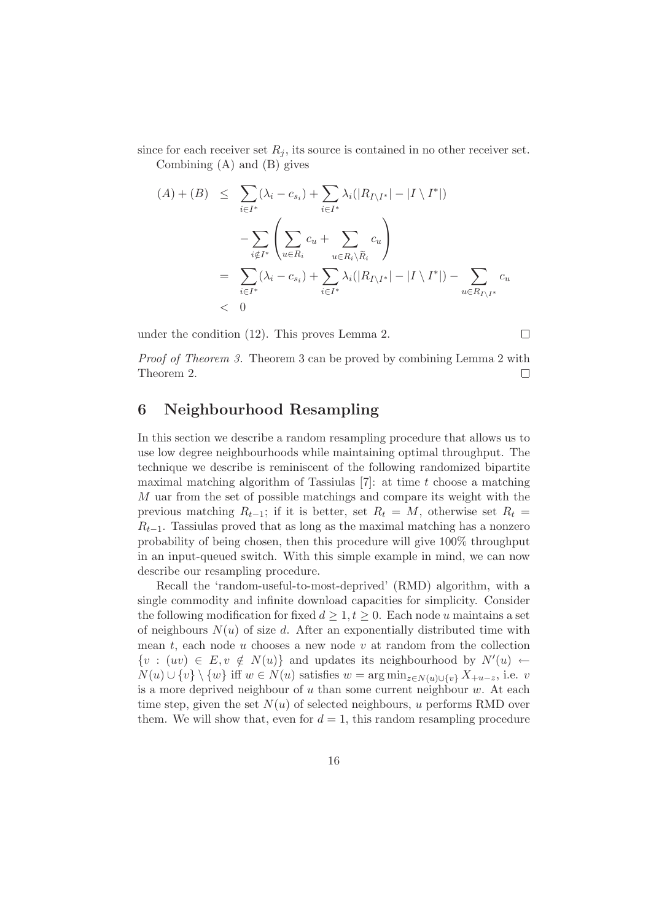since for each receiver set  $R_i$ , its source is contained in no other receiver set. Combining (A) and (B) gives

$$
(A) + (B) \leq \sum_{i \in I^*} (\lambda_i - c_{s_i}) + \sum_{i \in I^*} \lambda_i (|R_{I \setminus I^*}| - |I \setminus I^*|)
$$
  

$$
- \sum_{i \notin I^*} \left( \sum_{u \in R_i} c_u + \sum_{u \in R_i \setminus \widetilde{R}_i} c_u \right)
$$
  

$$
= \sum_{i \in I^*} (\lambda_i - c_{s_i}) + \sum_{i \in I^*} \lambda_i (|R_{I \setminus I^*}| - |I \setminus I^*|) - \sum_{u \in R_{I \setminus I^*}} c_u
$$
  
<0

under the condition (12). This proves Lemma 2.

Proof of Theorem 3. Theorem 3 can be proved by combining Lemma 2 with Theorem 2.  $\Box$ 

 $\Box$ 

### 6 Neighbourhood Resampling

In this section we describe a random resampling procedure that allows us to use low degree neighbourhoods while maintaining optimal throughput. The technique we describe is reminiscent of the following randomized bipartite maximal matching algorithm of Tassiulas  $[7]$ : at time t choose a matching M uar from the set of possible matchings and compare its weight with the previous matching  $R_{t-1}$ ; if it is better, set  $R_t = M$ , otherwise set  $R_t =$  $R_{t-1}$ . Tassiulas proved that as long as the maximal matching has a nonzero probability of being chosen, then this procedure will give 100% throughput in an input-queued switch. With this simple example in mind, we can now describe our resampling procedure.

Recall the 'random-useful-to-most-deprived' (RMD) algorithm, with a single commodity and infinite download capacities for simplicity. Consider the following modification for fixed  $d \geq 1, t \geq 0$ . Each node u maintains a set of neighbours  $N(u)$  of size d. After an exponentially distributed time with mean  $t$ , each node  $u$  chooses a new node  $v$  at random from the collection  $\{v : (uv) \in E, v \notin N(u)\}\$ and updates its neighbourhood by  $N'(u) \leftarrow$  $N(u) \cup \{v\} \setminus \{w\}$  iff  $w \in N(u)$  satisfies  $w = \arg \min_{z \in N(u) \cup \{v\}} X_{+u-z}$ , i.e. v is a more deprived neighbour of  $u$  than some current neighbour  $w$ . At each time step, given the set  $N(u)$  of selected neighbours, u performs RMD over them. We will show that, even for  $d = 1$ , this random resampling procedure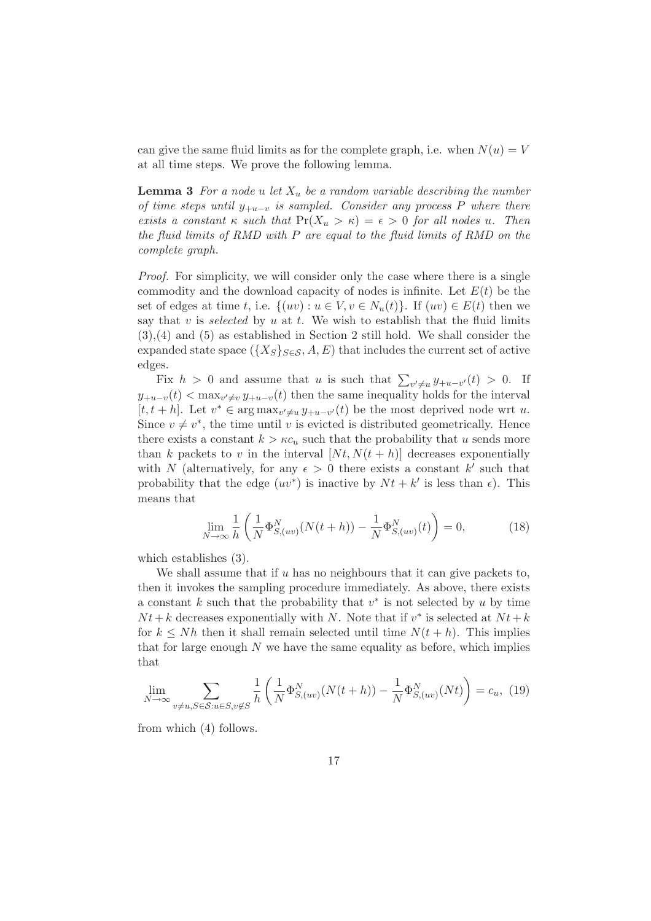can give the same fluid limits as for the complete graph, i.e. when  $N(u) = V$ at all time steps. We prove the following lemma.

**Lemma 3** For a node u let  $X_u$  be a random variable describing the number of time steps until  $y_{+u-v}$  is sampled. Consider any process P where there exists a constant  $\kappa$  such that  $Pr(X_u > \kappa) = \epsilon > 0$  for all nodes u. Then the fluid limits of RMD with P are equal to the fluid limits of RMD on the complete graph.

Proof. For simplicity, we will consider only the case where there is a single commodity and the download capacity of nodes is infinite. Let  $E(t)$  be the set of edges at time t, i.e.  $\{(uv): u \in V, v \in N_u(t)\}\$ . If  $(uv) \in E(t)$  then we say that v is selected by u at t. We wish to establish that the fluid limits (3),(4) and (5) as established in Section 2 still hold. We shall consider the expanded state space ( $\{X_S\}_{S\in\mathcal{S}}, A, E$ ) that includes the current set of active edges.

Fix  $h > 0$  and assume that u is such that  $\sum_{v' \neq u} y_{+u-v'}(t) > 0$ . If  $y_{+u-v}(t) < \max_{v' \neq v} y_{+u-v}(t)$  then the same inequality holds for the interval [ $t, t + h$ ]. Let  $v^* \in \arg \max_{v' \neq u} y_{+u-v'}(t)$  be the most deprived node wrt u. Since  $v \neq v^*$ , the time until v is evicted is distributed geometrically. Hence there exists a constant  $k > \kappa c_u$  such that the probability that u sends more than k packets to v in the interval  $[Nt, N(t+h)]$  decreases exponentially with N (alternatively, for any  $\epsilon > 0$  there exists a constant k' such that probability that the edge  $(uv^*)$  is inactive by  $Nt + k'$  is less than  $\epsilon$ ). This means that

$$
\lim_{N \to \infty} \frac{1}{h} \left( \frac{1}{N} \Phi_{S,(uv)}^N (N(t+h)) - \frac{1}{N} \Phi_{S,(uv)}^N(t) \right) = 0,
$$
\n(18)

which establishes (3).

We shall assume that if  $u$  has no neighbours that it can give packets to, then it invokes the sampling procedure immediately. As above, there exists a constant  $k$  such that the probability that  $v^*$  is not selected by  $u$  by time  $Nt+k$  decreases exponentially with N. Note that if  $v^*$  is selected at  $Nt+k$ for  $k \leq Nh$  then it shall remain selected until time  $N(t+h)$ . This implies that for large enough  $N$  we have the same equality as before, which implies that

$$
\lim_{N \to \infty} \sum_{v \neq u, S \in \mathcal{S}: u \in S, v \notin S} \frac{1}{h} \left( \frac{1}{N} \Phi_{S,(uv)}^N (N(t+h)) - \frac{1}{N} \Phi_{S,(uv)}^N (Nt) \right) = c_u, \tag{19}
$$

from which (4) follows.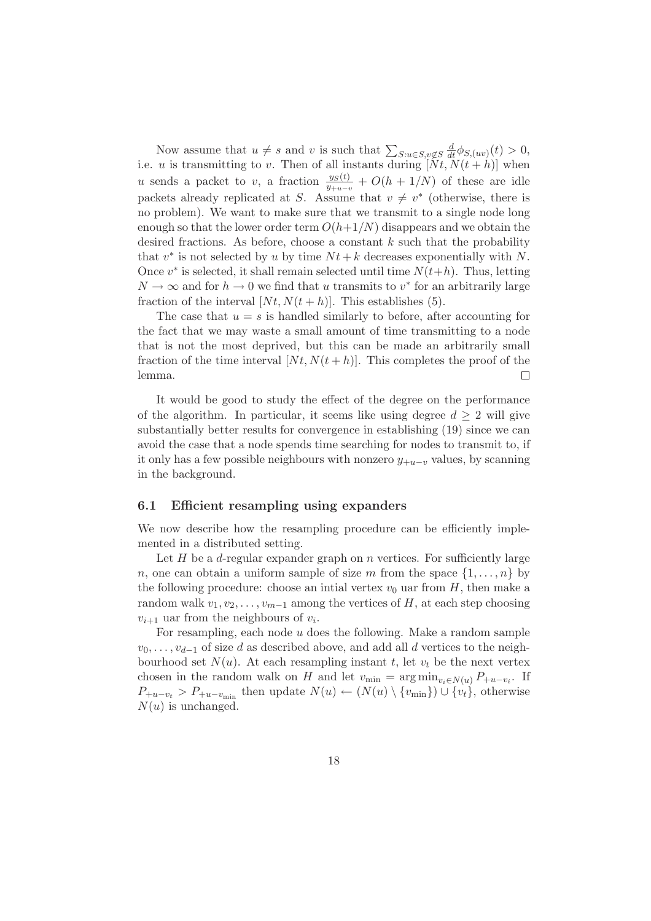Now assume that  $u \neq s$  and v is such that  $\sum_{S:u \in S,v \notin S} \frac{d}{dt} \phi_{S,(uv)}(t) > 0$ , i.e. u is transmitting to v. Then of all instants during  $[Nt, N(t+h)]$  when u sends a packet to v, a fraction  $\frac{y_S(t)}{y_{+u-v}} + O(h + 1/N)$  of these are idle packets already replicated at S. Assume that  $v \neq v^*$  (otherwise, there is no problem). We want to make sure that we transmit to a single node long enough so that the lower order term  $O(h+1/N)$  disappears and we obtain the desired fractions. As before, choose a constant  $k$  such that the probability that  $v^*$  is not selected by u by time  $Nt + k$  decreases exponentially with N. Once  $v^*$  is selected, it shall remain selected until time  $N(t+h)$ . Thus, letting  $N \to \infty$  and for  $h \to 0$  we find that u transmits to  $v^*$  for an arbitrarily large fraction of the interval  $[Nt, N(t+h)]$ . This establishes (5).

The case that  $u = s$  is handled similarly to before, after accounting for the fact that we may waste a small amount of time transmitting to a node that is not the most deprived, but this can be made an arbitrarily small fraction of the time interval  $[Nt, N(t+h)]$ . This completes the proof of the lemma.  $\Box$ 

It would be good to study the effect of the degree on the performance of the algorithm. In particular, it seems like using degree  $d \geq 2$  will give substantially better results for convergence in establishing (19) since we can avoid the case that a node spends time searching for nodes to transmit to, if it only has a few possible neighbours with nonzero  $y_{+u-v}$  values, by scanning in the background.

#### 6.1 Efficient resampling using expanders

We now describe how the resampling procedure can be efficiently implemented in a distributed setting.

Let H be a d-regular expander graph on n vertices. For sufficiently large n, one can obtain a uniform sample of size m from the space  $\{1, \ldots, n\}$  by the following procedure: choose an intial vertex  $v_0$  uar from H, then make a random walk  $v_1, v_2, \ldots, v_{m-1}$  among the vertices of H, at each step choosing  $v_{i+1}$  uar from the neighbours of  $v_i$ .

For resampling, each node  $u$  does the following. Make a random sample  $v_0, \ldots, v_{d-1}$  of size d as described above, and add all d vertices to the neighbourhood set  $N(u)$ . At each resampling instant t, let  $v_t$  be the next vertex chosen in the random walk on H and let  $v_{\min} = \arg \min_{v_i \in N(u)} P_{+u-v_i}$ . If  $P_{+u-v_t} > P_{+u-v_{\text{min}}}$  then update  $N(u) \leftarrow (N(u) \setminus \{v_{\text{min}}\}) \cup \{v_t\}$ , otherwise  $N(u)$  is unchanged.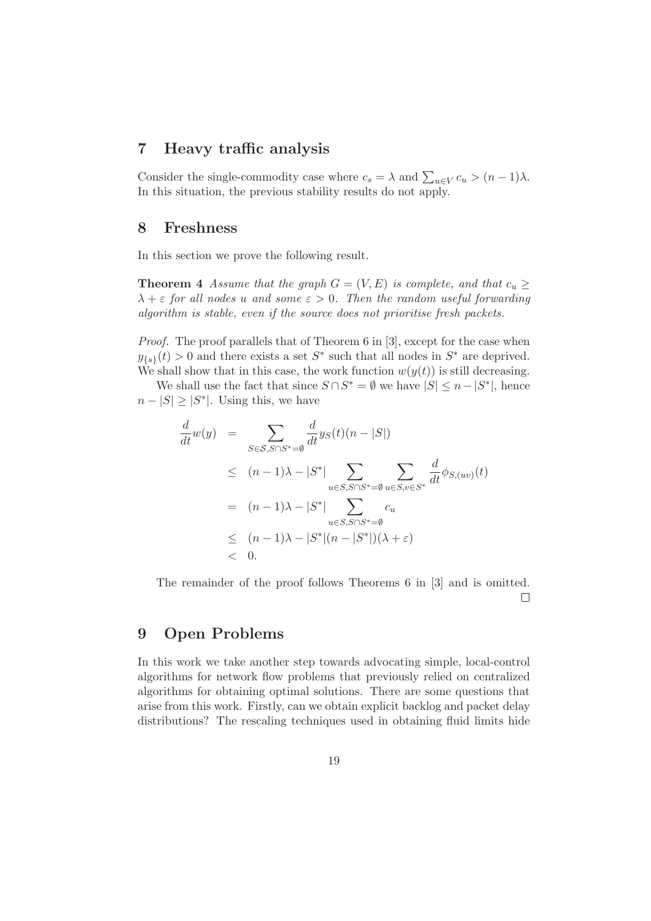#### 7 Heavy traffic analysis

Consider the single-commodity case where  $c_s = \lambda$  and  $\sum_{u \in V} c_u > (n-1)\lambda$ . In this situation, the previous stability results do not apply.

#### 8 Freshness

In this section we prove the following result.

**Theorem 4** Assume that the graph  $G = (V, E)$  is complete, and that  $c_u \geq$  $\lambda + \varepsilon$  for all nodes u and some  $\varepsilon > 0$ . Then the random useful forwarding algorithm is stable, even if the source does not prioritise fresh packets.

Proof. The proof parallels that of Theorem 6 in [3], except for the case when  $y_{\{s\}}(t) > 0$  and there exists a set  $S^*$  such that all nodes in  $S^*$  are deprived. We shall show that in this case, the work function  $w(y(t))$  is still decreasing.

We shall use the fact that since  $S \cap S^* = \emptyset$  we have  $|S| \leq n - |S^*|$ , hence  $n - |S| \geq |S^*|$ . Using this, we have

$$
\frac{d}{dt}w(y) = \sum_{S \in \mathcal{S}, S \cap S^* = \emptyset} \frac{d}{dt} y_S(t)(n-|S|)
$$
\n
$$
\leq (n-1)\lambda - |S^*| \sum_{u \in S, S \cap S^* = \emptyset} \sum_{u \in S, v \in S^*} \frac{d}{dt} \phi_{S,(uv)}(t)
$$
\n
$$
= (n-1)\lambda - |S^*| \sum_{u \in S, S \cap S^* = \emptyset} c_u
$$
\n
$$
\leq (n-1)\lambda - |S^*|(n-|S^*|)(\lambda + \varepsilon)
$$
\n
$$
< 0.
$$

The remainder of the proof follows Theorems 6 in [3] and is omitted.  $\Box$ 

#### 9 Open Problems

In this work we take another step towards advocating simple, local-control algorithms for network flow problems that previously relied on centralized algorithms for obtaining optimal solutions. There are some questions that arise from this work. Firstly, can we obtain explicit backlog and packet delay distributions? The rescaling techniques used in obtaining fluid limits hide